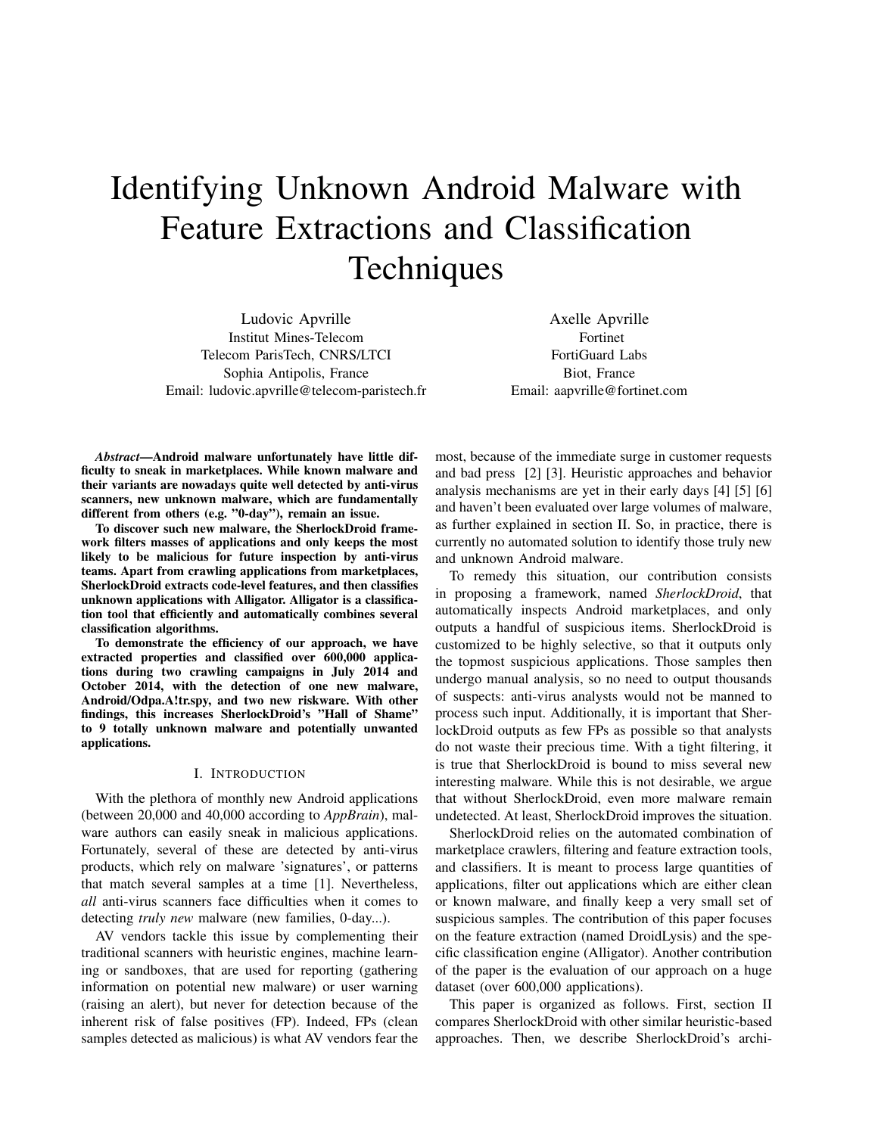# Identifying Unknown Android Malware with Feature Extractions and Classification **Techniques**

Ludovic Apvrille Institut Mines-Telecom Telecom ParisTech, CNRS/LTCI Sophia Antipolis, France Email: ludovic.apvrille@telecom-paristech.fr

Axelle Apvrille Fortinet FortiGuard Labs Biot, France Email: aapvrille@fortinet.com

*Abstract*—Android malware unfortunately have little difficulty to sneak in marketplaces. While known malware and their variants are nowadays quite well detected by anti-virus scanners, new unknown malware, which are fundamentally different from others (e.g. "0-day"), remain an issue.

To discover such new malware, the SherlockDroid framework filters masses of applications and only keeps the most likely to be malicious for future inspection by anti-virus teams. Apart from crawling applications from marketplaces, SherlockDroid extracts code-level features, and then classifies unknown applications with Alligator. Alligator is a classification tool that efficiently and automatically combines several classification algorithms.

To demonstrate the efficiency of our approach, we have extracted properties and classified over 600,000 applications during two crawling campaigns in July 2014 and October 2014, with the detection of one new malware, Android/Odpa.A!tr.spy, and two new riskware. With other findings, this increases SherlockDroid's "Hall of Shame" to 9 totally unknown malware and potentially unwanted applications.

## I. INTRODUCTION

With the plethora of monthly new Android applications (between 20,000 and 40,000 according to *AppBrain*), malware authors can easily sneak in malicious applications. Fortunately, several of these are detected by anti-virus products, which rely on malware 'signatures', or patterns that match several samples at a time [1]. Nevertheless, *all* anti-virus scanners face difficulties when it comes to detecting *truly new* malware (new families, 0-day...).

AV vendors tackle this issue by complementing their traditional scanners with heuristic engines, machine learning or sandboxes, that are used for reporting (gathering information on potential new malware) or user warning (raising an alert), but never for detection because of the inherent risk of false positives (FP). Indeed, FPs (clean samples detected as malicious) is what AV vendors fear the

most, because of the immediate surge in customer requests and bad press [2] [3]. Heuristic approaches and behavior analysis mechanisms are yet in their early days [4] [5] [6] and haven't been evaluated over large volumes of malware, as further explained in section II. So, in practice, there is currently no automated solution to identify those truly new and unknown Android malware.

To remedy this situation, our contribution consists in proposing a framework, named *SherlockDroid*, that automatically inspects Android marketplaces, and only outputs a handful of suspicious items. SherlockDroid is customized to be highly selective, so that it outputs only the topmost suspicious applications. Those samples then undergo manual analysis, so no need to output thousands of suspects: anti-virus analysts would not be manned to process such input. Additionally, it is important that SherlockDroid outputs as few FPs as possible so that analysts do not waste their precious time. With a tight filtering, it is true that SherlockDroid is bound to miss several new interesting malware. While this is not desirable, we argue that without SherlockDroid, even more malware remain undetected. At least, SherlockDroid improves the situation.

SherlockDroid relies on the automated combination of marketplace crawlers, filtering and feature extraction tools, and classifiers. It is meant to process large quantities of applications, filter out applications which are either clean or known malware, and finally keep a very small set of suspicious samples. The contribution of this paper focuses on the feature extraction (named DroidLysis) and the specific classification engine (Alligator). Another contribution of the paper is the evaluation of our approach on a huge dataset (over 600,000 applications).

This paper is organized as follows. First, section II compares SherlockDroid with other similar heuristic-based approaches. Then, we describe SherlockDroid's archi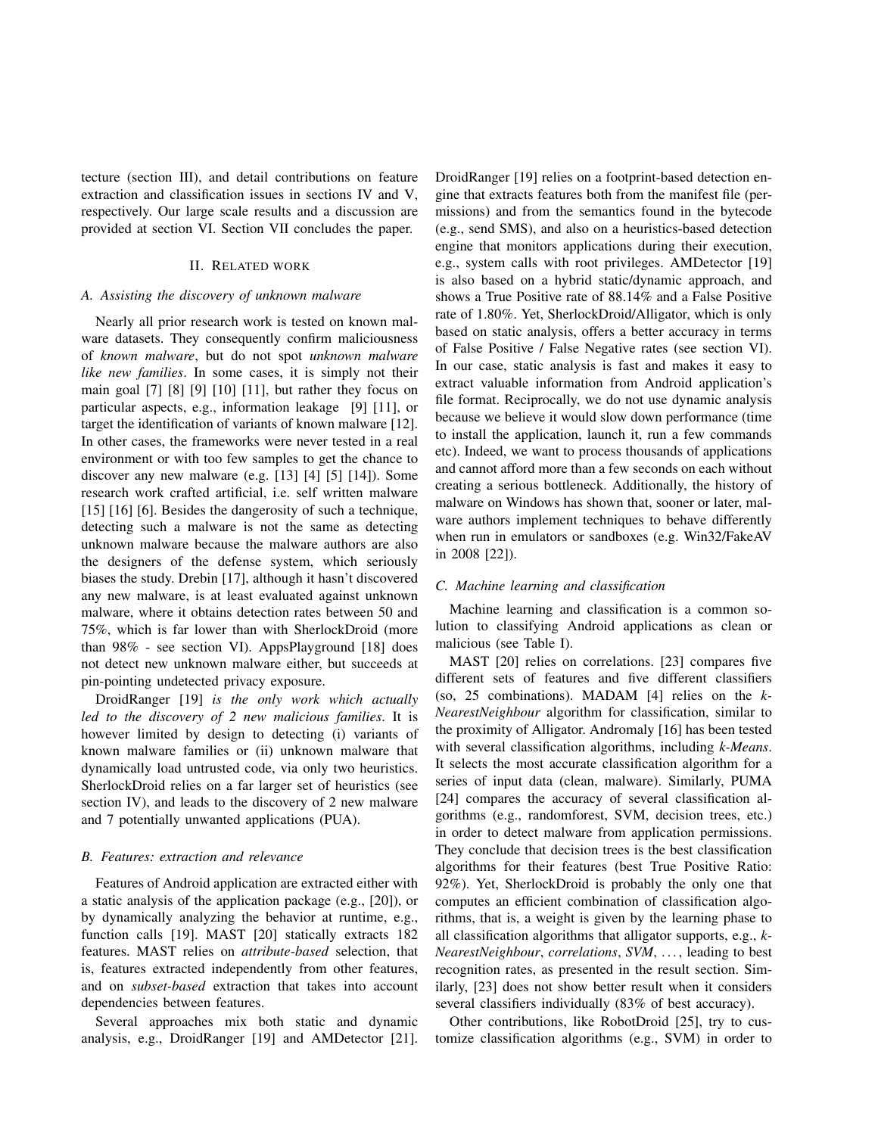tecture (section III), and detail contributions on feature extraction and classification issues in sections IV and V, respectively. Our large scale results and a discussion are provided at section VI. Section VII concludes the paper.

## II. RELATED WORK

#### *A. Assisting the discovery of unknown malware*

Nearly all prior research work is tested on known malware datasets. They consequently confirm maliciousness of *known malware*, but do not spot *unknown malware like new families*. In some cases, it is simply not their main goal [7] [8] [9] [10] [11], but rather they focus on particular aspects, e.g., information leakage [9] [11], or target the identification of variants of known malware [12]. In other cases, the frameworks were never tested in a real environment or with too few samples to get the chance to discover any new malware (e.g. [13] [4] [5] [14]). Some research work crafted artificial, i.e. self written malware [15] [16] [6]. Besides the dangerosity of such a technique, detecting such a malware is not the same as detecting unknown malware because the malware authors are also the designers of the defense system, which seriously biases the study. Drebin [17], although it hasn't discovered any new malware, is at least evaluated against unknown malware, where it obtains detection rates between 50 and 75%, which is far lower than with SherlockDroid (more than 98% - see section VI). AppsPlayground [18] does not detect new unknown malware either, but succeeds at pin-pointing undetected privacy exposure.

DroidRanger [19] *is the only work which actually led to the discovery of 2 new malicious families*. It is however limited by design to detecting (i) variants of known malware families or (ii) unknown malware that dynamically load untrusted code, via only two heuristics. SherlockDroid relies on a far larger set of heuristics (see section IV), and leads to the discovery of 2 new malware and 7 potentially unwanted applications (PUA).

#### *B. Features: extraction and relevance*

Features of Android application are extracted either with a static analysis of the application package (e.g., [20]), or by dynamically analyzing the behavior at runtime, e.g., function calls [19]. MAST [20] statically extracts 182 features. MAST relies on *attribute-based* selection, that is, features extracted independently from other features, and on *subset-based* extraction that takes into account dependencies between features.

Several approaches mix both static and dynamic analysis, e.g., DroidRanger [19] and AMDetector [21]. DroidRanger [19] relies on a footprint-based detection engine that extracts features both from the manifest file (permissions) and from the semantics found in the bytecode (e.g., send SMS), and also on a heuristics-based detection engine that monitors applications during their execution, e.g., system calls with root privileges. AMDetector [19] is also based on a hybrid static/dynamic approach, and shows a True Positive rate of 88.14% and a False Positive rate of 1.80%. Yet, SherlockDroid/Alligator, which is only based on static analysis, offers a better accuracy in terms of False Positive / False Negative rates (see section VI). In our case, static analysis is fast and makes it easy to extract valuable information from Android application's file format. Reciprocally, we do not use dynamic analysis because we believe it would slow down performance (time to install the application, launch it, run a few commands etc). Indeed, we want to process thousands of applications and cannot afford more than a few seconds on each without creating a serious bottleneck. Additionally, the history of malware on Windows has shown that, sooner or later, malware authors implement techniques to behave differently when run in emulators or sandboxes (e.g. Win32/FakeAV in 2008 [22]).

#### *C. Machine learning and classification*

Machine learning and classification is a common solution to classifying Android applications as clean or malicious (see Table I).

MAST [20] relies on correlations. [23] compares five different sets of features and five different classifiers (so, 25 combinations). MADAM [4] relies on the *k-NearestNeighbour* algorithm for classification, similar to the proximity of Alligator. Andromaly [16] has been tested with several classification algorithms, including *k-Means*. It selects the most accurate classification algorithm for a series of input data (clean, malware). Similarly, PUMA [24] compares the accuracy of several classification algorithms (e.g., randomforest, SVM, decision trees, etc.) in order to detect malware from application permissions. They conclude that decision trees is the best classification algorithms for their features (best True Positive Ratio: 92%). Yet, SherlockDroid is probably the only one that computes an efficient combination of classification algorithms, that is, a weight is given by the learning phase to all classification algorithms that alligator supports, e.g., *k-NearestNeighbour*, *correlations*, *SVM*, . . . , leading to best recognition rates, as presented in the result section. Similarly, [23] does not show better result when it considers several classifiers individually (83% of best accuracy).

Other contributions, like RobotDroid [25], try to customize classification algorithms (e.g., SVM) in order to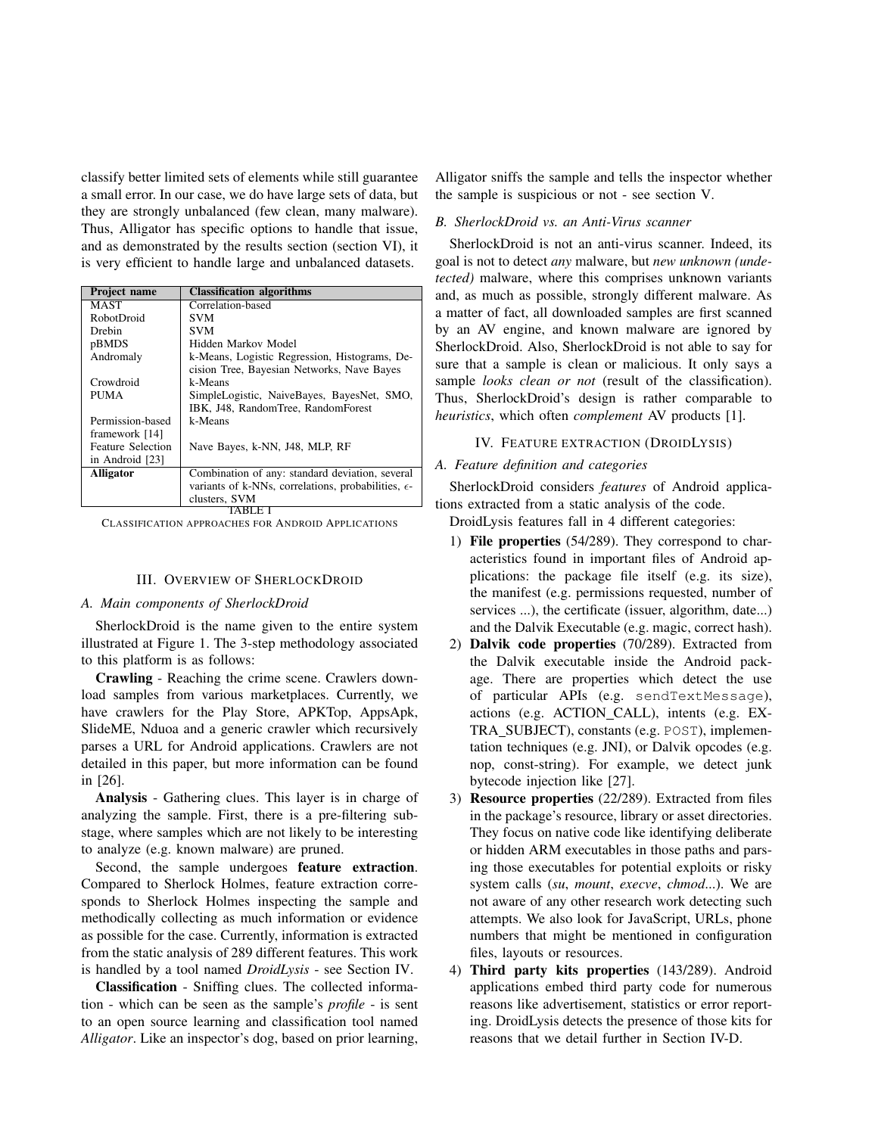classify better limited sets of elements while still guarantee a small error. In our case, we do have large sets of data, but they are strongly unbalanced (few clean, many malware). Thus, Alligator has specific options to handle that issue, and as demonstrated by the results section (section VI), it is very efficient to handle large and unbalanced datasets.

| <b>Project name</b>      | <b>Classification algorithms</b>                             |
|--------------------------|--------------------------------------------------------------|
| <b>MAST</b>              | Correlation-based                                            |
| <b>RobotDroid</b>        | SVM                                                          |
| Drebin                   | SVM                                                          |
| pBMDS                    | Hidden Markov Model                                          |
| Andromaly                | k-Means, Logistic Regression, Histograms, De-                |
|                          | cision Tree, Bayesian Networks, Nave Bayes                   |
| Crowdroid                | k-Means                                                      |
| PUMA                     | SimpleLogistic, NaiveBayes, BayesNet, SMO,                   |
|                          | IBK, J48, RandomTree, RandomForest                           |
| Permission-based         | k-Means                                                      |
| framework [14]           |                                                              |
| <b>Feature Selection</b> | Nave Bayes, k-NN, J48, MLP, RF                               |
| in Android [23]          |                                                              |
| <b>Alligator</b>         | Combination of any: standard deviation, several              |
|                          | variants of k-NNs, correlations, probabilities, $\epsilon$ - |
|                          | clusters. SVM                                                |

TABLE I

CLASSIFICATION APPROACHES FOR ANDROID APPLICATIONS

## III. OVERVIEW OF SHERLOCKDROID

#### *A. Main components of SherlockDroid*

SherlockDroid is the name given to the entire system illustrated at Figure 1. The 3-step methodology associated to this platform is as follows:

Crawling - Reaching the crime scene. Crawlers download samples from various marketplaces. Currently, we have crawlers for the Play Store, APKTop, AppsApk, SlideME, Nduoa and a generic crawler which recursively parses a URL for Android applications. Crawlers are not detailed in this paper, but more information can be found in [26].

Analysis - Gathering clues. This layer is in charge of analyzing the sample. First, there is a pre-filtering substage, where samples which are not likely to be interesting to analyze (e.g. known malware) are pruned.

Second, the sample undergoes feature extraction. Compared to Sherlock Holmes, feature extraction corresponds to Sherlock Holmes inspecting the sample and methodically collecting as much information or evidence as possible for the case. Currently, information is extracted from the static analysis of 289 different features. This work is handled by a tool named *DroidLysis* - see Section IV.

Classification - Sniffing clues. The collected information - which can be seen as the sample's *profile* - is sent to an open source learning and classification tool named *Alligator*. Like an inspector's dog, based on prior learning,

Alligator sniffs the sample and tells the inspector whether the sample is suspicious or not - see section V.

## *B. SherlockDroid vs. an Anti-Virus scanner*

SherlockDroid is not an anti-virus scanner. Indeed, its goal is not to detect *any* malware, but *new unknown (undetected)* malware, where this comprises unknown variants and, as much as possible, strongly different malware. As a matter of fact, all downloaded samples are first scanned by an AV engine, and known malware are ignored by SherlockDroid. Also, SherlockDroid is not able to say for sure that a sample is clean or malicious. It only says a sample *looks clean or not* (result of the classification). Thus, SherlockDroid's design is rather comparable to *heuristics*, which often *complement* AV products [1].

## IV. FEATURE EXTRACTION (DROIDLYSIS)

# *A. Feature definition and categories*

SherlockDroid considers *features* of Android applications extracted from a static analysis of the code.

DroidLysis features fall in 4 different categories:

- 1) File properties (54/289). They correspond to characteristics found in important files of Android applications: the package file itself (e.g. its size), the manifest (e.g. permissions requested, number of services ...), the certificate (issuer, algorithm, date...) and the Dalvik Executable (e.g. magic, correct hash).
- 2) Dalvik code properties (70/289). Extracted from the Dalvik executable inside the Android package. There are properties which detect the use of particular APIs (e.g. sendTextMessage), actions (e.g. ACTION\_CALL), intents (e.g. EX-TRA SUBJECT), constants (e.g. POST), implementation techniques (e.g. JNI), or Dalvik opcodes (e.g. nop, const-string). For example, we detect junk bytecode injection like [27].
- 3) Resource properties (22/289). Extracted from files in the package's resource, library or asset directories. They focus on native code like identifying deliberate or hidden ARM executables in those paths and parsing those executables for potential exploits or risky system calls (*su*, *mount*, *execve*, *chmod*...). We are not aware of any other research work detecting such attempts. We also look for JavaScript, URLs, phone numbers that might be mentioned in configuration files, layouts or resources.
- 4) Third party kits properties (143/289). Android applications embed third party code for numerous reasons like advertisement, statistics or error reporting. DroidLysis detects the presence of those kits for reasons that we detail further in Section IV-D.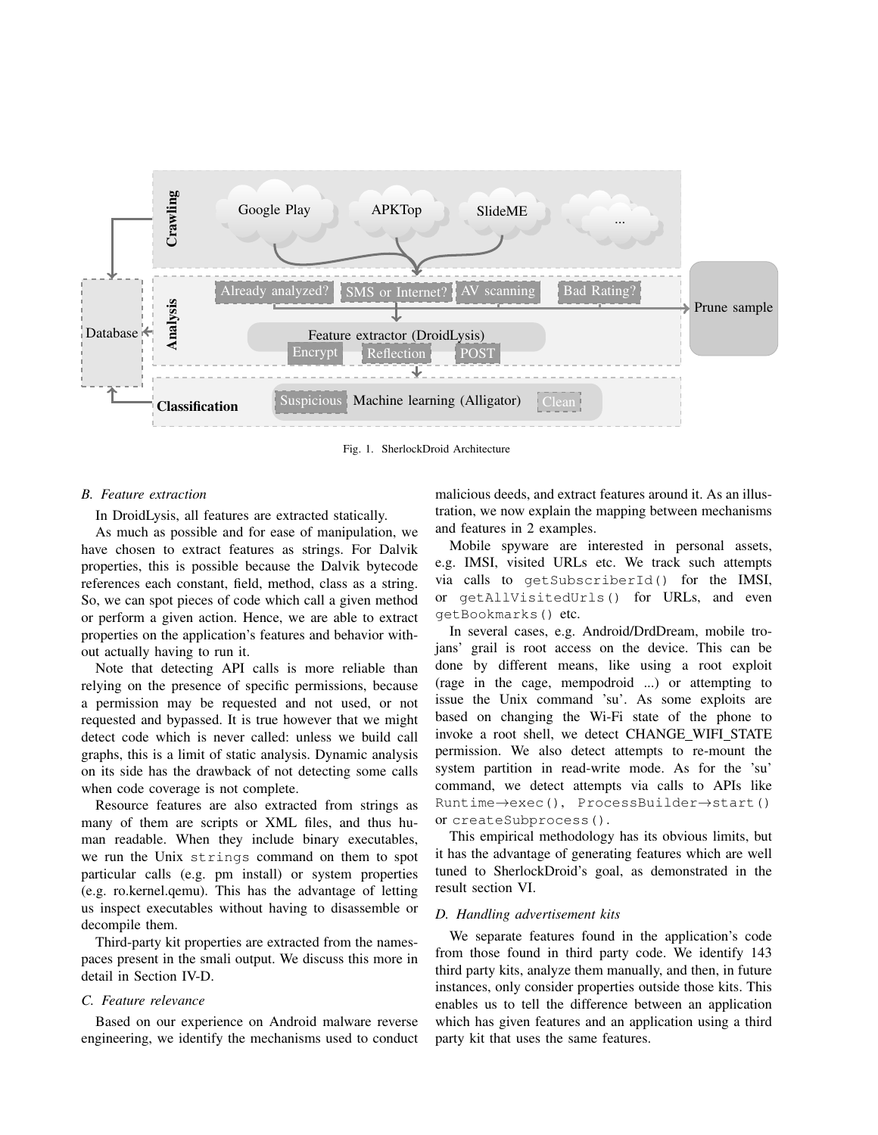

Fig. 1. SherlockDroid Architecture

# *B. Feature extraction*

In DroidLysis, all features are extracted statically.

As much as possible and for ease of manipulation, we have chosen to extract features as strings. For Dalvik properties, this is possible because the Dalvik bytecode references each constant, field, method, class as a string. So, we can spot pieces of code which call a given method or perform a given action. Hence, we are able to extract properties on the application's features and behavior without actually having to run it.

Note that detecting API calls is more reliable than relying on the presence of specific permissions, because a permission may be requested and not used, or not requested and bypassed. It is true however that we might detect code which is never called: unless we build call graphs, this is a limit of static analysis. Dynamic analysis on its side has the drawback of not detecting some calls when code coverage is not complete.

Resource features are also extracted from strings as many of them are scripts or XML files, and thus human readable. When they include binary executables, we run the Unix strings command on them to spot particular calls (e.g. pm install) or system properties (e.g. ro.kernel.qemu). This has the advantage of letting us inspect executables without having to disassemble or decompile them.

Third-party kit properties are extracted from the namespaces present in the smali output. We discuss this more in detail in Section IV-D.

# *C. Feature relevance*

Based on our experience on Android malware reverse engineering, we identify the mechanisms used to conduct malicious deeds, and extract features around it. As an illustration, we now explain the mapping between mechanisms and features in 2 examples.

Mobile spyware are interested in personal assets, e.g. IMSI, visited URLs etc. We track such attempts via calls to getSubscriberId() for the IMSI, or getAllVisitedUrls() for URLs, and even getBookmarks() etc.

In several cases, e.g. Android/DrdDream, mobile trojans' grail is root access on the device. This can be done by different means, like using a root exploit (rage in the cage, mempodroid ...) or attempting to issue the Unix command 'su'. As some exploits are based on changing the Wi-Fi state of the phone to invoke a root shell, we detect CHANGE\_WIFI\_STATE permission. We also detect attempts to re-mount the system partition in read-write mode. As for the 'su' command, we detect attempts via calls to APIs like Runtime→exec(), ProcessBuilder→start() or createSubprocess().

This empirical methodology has its obvious limits, but it has the advantage of generating features which are well tuned to SherlockDroid's goal, as demonstrated in the result section VI.

#### *D. Handling advertisement kits*

We separate features found in the application's code from those found in third party code. We identify 143 third party kits, analyze them manually, and then, in future instances, only consider properties outside those kits. This enables us to tell the difference between an application which has given features and an application using a third party kit that uses the same features.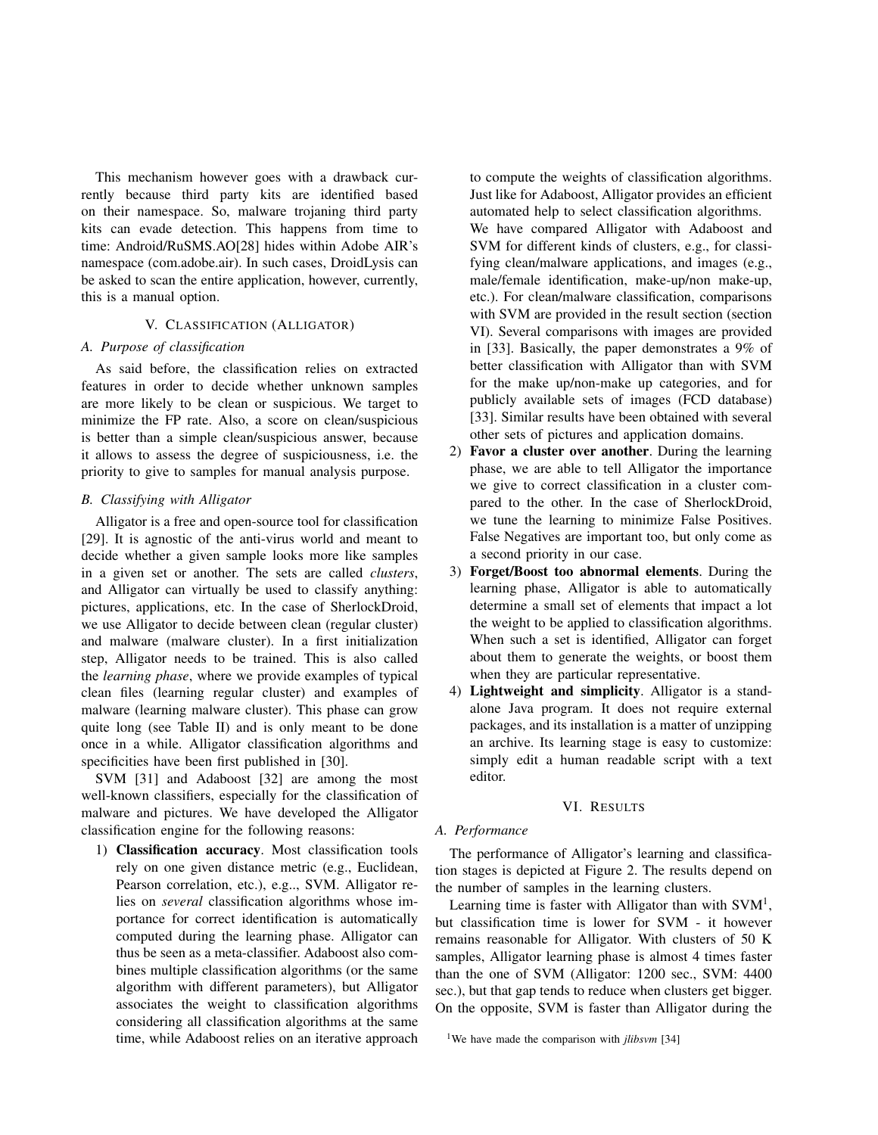This mechanism however goes with a drawback currently because third party kits are identified based on their namespace. So, malware trojaning third party kits can evade detection. This happens from time to time: Android/RuSMS.AO[28] hides within Adobe AIR's namespace (com.adobe.air). In such cases, DroidLysis can be asked to scan the entire application, however, currently, this is a manual option.

# V. CLASSIFICATION (ALLIGATOR)

# *A. Purpose of classification*

As said before, the classification relies on extracted features in order to decide whether unknown samples are more likely to be clean or suspicious. We target to minimize the FP rate. Also, a score on clean/suspicious is better than a simple clean/suspicious answer, because it allows to assess the degree of suspiciousness, i.e. the priority to give to samples for manual analysis purpose.

## *B. Classifying with Alligator*

Alligator is a free and open-source tool for classification [29]. It is agnostic of the anti-virus world and meant to decide whether a given sample looks more like samples in a given set or another. The sets are called *clusters*, and Alligator can virtually be used to classify anything: pictures, applications, etc. In the case of SherlockDroid, we use Alligator to decide between clean (regular cluster) and malware (malware cluster). In a first initialization step, Alligator needs to be trained. This is also called the *learning phase*, where we provide examples of typical clean files (learning regular cluster) and examples of malware (learning malware cluster). This phase can grow quite long (see Table II) and is only meant to be done once in a while. Alligator classification algorithms and specificities have been first published in [30].

SVM [31] and Adaboost [32] are among the most well-known classifiers, especially for the classification of malware and pictures. We have developed the Alligator classification engine for the following reasons:

1) Classification accuracy. Most classification tools rely on one given distance metric (e.g., Euclidean, Pearson correlation, etc.), e.g.., SVM. Alligator relies on *several* classification algorithms whose importance for correct identification is automatically computed during the learning phase. Alligator can thus be seen as a meta-classifier. Adaboost also combines multiple classification algorithms (or the same algorithm with different parameters), but Alligator associates the weight to classification algorithms considering all classification algorithms at the same time, while Adaboost relies on an iterative approach

to compute the weights of classification algorithms. Just like for Adaboost, Alligator provides an efficient automated help to select classification algorithms. We have compared Alligator with Adaboost and

SVM for different kinds of clusters, e.g., for classifying clean/malware applications, and images (e.g., male/female identification, make-up/non make-up, etc.). For clean/malware classification, comparisons with SVM are provided in the result section (section VI). Several comparisons with images are provided in [33]. Basically, the paper demonstrates a 9% of better classification with Alligator than with SVM for the make up/non-make up categories, and for publicly available sets of images (FCD database) [33]. Similar results have been obtained with several other sets of pictures and application domains.

- 2) Favor a cluster over another. During the learning phase, we are able to tell Alligator the importance we give to correct classification in a cluster compared to the other. In the case of SherlockDroid, we tune the learning to minimize False Positives. False Negatives are important too, but only come as a second priority in our case.
- 3) Forget/Boost too abnormal elements. During the learning phase, Alligator is able to automatically determine a small set of elements that impact a lot the weight to be applied to classification algorithms. When such a set is identified, Alligator can forget about them to generate the weights, or boost them when they are particular representative.
- 4) Lightweight and simplicity. Alligator is a standalone Java program. It does not require external packages, and its installation is a matter of unzipping an archive. Its learning stage is easy to customize: simply edit a human readable script with a text editor.

## VI. RESULTS

#### *A. Performance*

The performance of Alligator's learning and classification stages is depicted at Figure 2. The results depend on the number of samples in the learning clusters.

Learning time is faster with Alligator than with  $SVM<sup>1</sup>$ , but classification time is lower for SVM - it however remains reasonable for Alligator. With clusters of 50 K samples, Alligator learning phase is almost 4 times faster than the one of SVM (Alligator: 1200 sec., SVM: 4400 sec.), but that gap tends to reduce when clusters get bigger. On the opposite, SVM is faster than Alligator during the

<sup>1</sup>We have made the comparison with *jlibsvm* [34]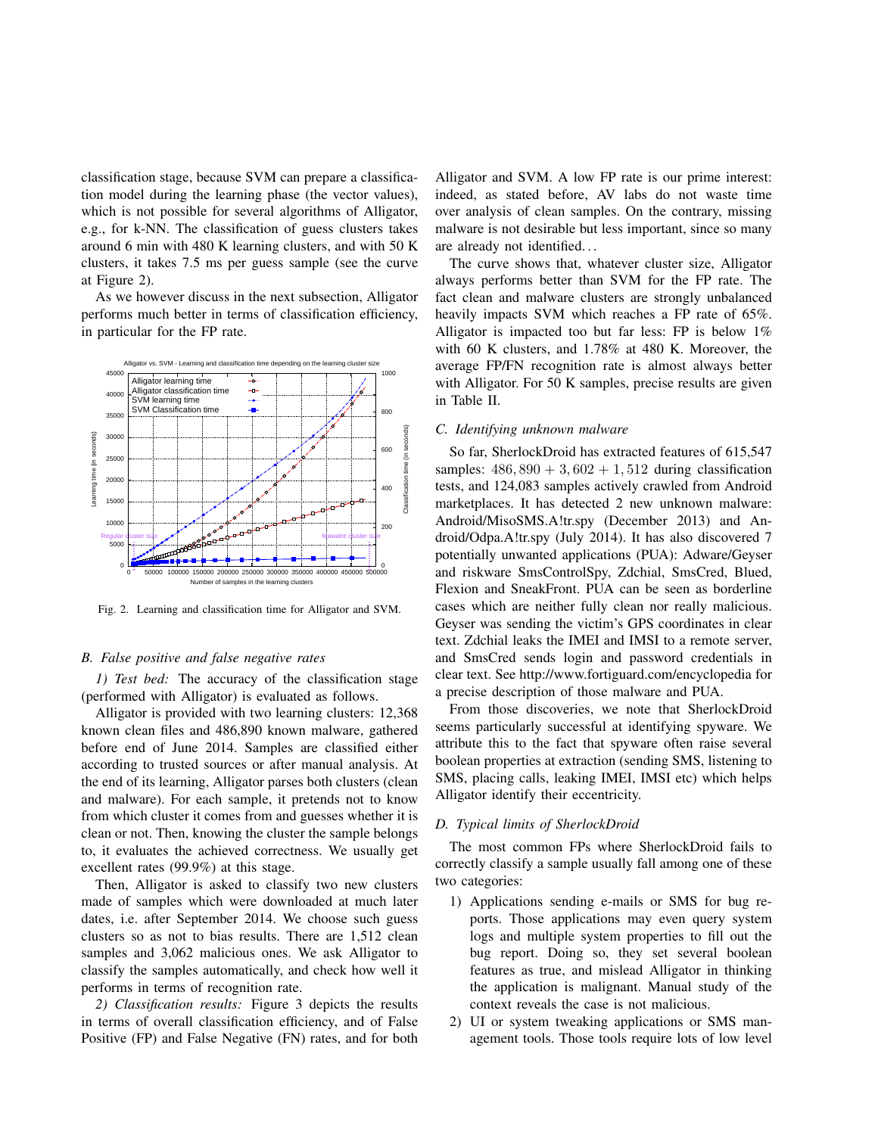classification stage, because SVM can prepare a classification model during the learning phase (the vector values), which is not possible for several algorithms of Alligator, e.g., for k-NN. The classification of guess clusters takes around 6 min with 480 K learning clusters, and with 50 K clusters, it takes 7.5 ms per guess sample (see the curve at Figure 2).

As we however discuss in the next subsection, Alligator performs much better in terms of classification efficiency, in particular for the FP rate.



Fig. 2. Learning and classification time for Alligator and SVM.

#### *B. False positive and false negative rates*

*1) Test bed:* The accuracy of the classification stage (performed with Alligator) is evaluated as follows.

Alligator is provided with two learning clusters: 12,368 known clean files and 486,890 known malware, gathered before end of June 2014. Samples are classified either according to trusted sources or after manual analysis. At the end of its learning, Alligator parses both clusters (clean and malware). For each sample, it pretends not to know from which cluster it comes from and guesses whether it is clean or not. Then, knowing the cluster the sample belongs to, it evaluates the achieved correctness. We usually get excellent rates (99.9%) at this stage.

Then, Alligator is asked to classify two new clusters made of samples which were downloaded at much later dates, i.e. after September 2014. We choose such guess clusters so as not to bias results. There are 1,512 clean samples and 3,062 malicious ones. We ask Alligator to classify the samples automatically, and check how well it performs in terms of recognition rate.

*2) Classification results:* Figure 3 depicts the results in terms of overall classification efficiency, and of False Positive (FP) and False Negative (FN) rates, and for both

Alligator and SVM. A low FP rate is our prime interest: indeed, as stated before, AV labs do not waste time over analysis of clean samples. On the contrary, missing malware is not desirable but less important, since so many are already not identified. . .

The curve shows that, whatever cluster size, Alligator always performs better than SVM for the FP rate. The fact clean and malware clusters are strongly unbalanced heavily impacts SVM which reaches a FP rate of 65%. Alligator is impacted too but far less: FP is below 1% with 60 K clusters, and 1.78% at 480 K. Moreover, the average FP/FN recognition rate is almost always better with Alligator. For 50 K samples, precise results are given in Table II.

### *C. Identifying unknown malware*

So far, SherlockDroid has extracted features of 615,547 samples:  $486, 890 + 3, 602 + 1, 512$  during classification tests, and 124,083 samples actively crawled from Android marketplaces. It has detected 2 new unknown malware: Android/MisoSMS.A!tr.spy (December 2013) and Android/Odpa.A!tr.spy (July 2014). It has also discovered 7 potentially unwanted applications (PUA): Adware/Geyser and riskware SmsControlSpy, Zdchial, SmsCred, Blued, Flexion and SneakFront. PUA can be seen as borderline cases which are neither fully clean nor really malicious. Geyser was sending the victim's GPS coordinates in clear text. Zdchial leaks the IMEI and IMSI to a remote server, and SmsCred sends login and password credentials in clear text. See http://www.fortiguard.com/encyclopedia for a precise description of those malware and PUA.

From those discoveries, we note that SherlockDroid seems particularly successful at identifying spyware. We attribute this to the fact that spyware often raise several boolean properties at extraction (sending SMS, listening to SMS, placing calls, leaking IMEI, IMSI etc) which helps Alligator identify their eccentricity.

#### *D. Typical limits of SherlockDroid*

The most common FPs where SherlockDroid fails to correctly classify a sample usually fall among one of these two categories:

- 1) Applications sending e-mails or SMS for bug reports. Those applications may even query system logs and multiple system properties to fill out the bug report. Doing so, they set several boolean features as true, and mislead Alligator in thinking the application is malignant. Manual study of the context reveals the case is not malicious.
- 2) UI or system tweaking applications or SMS management tools. Those tools require lots of low level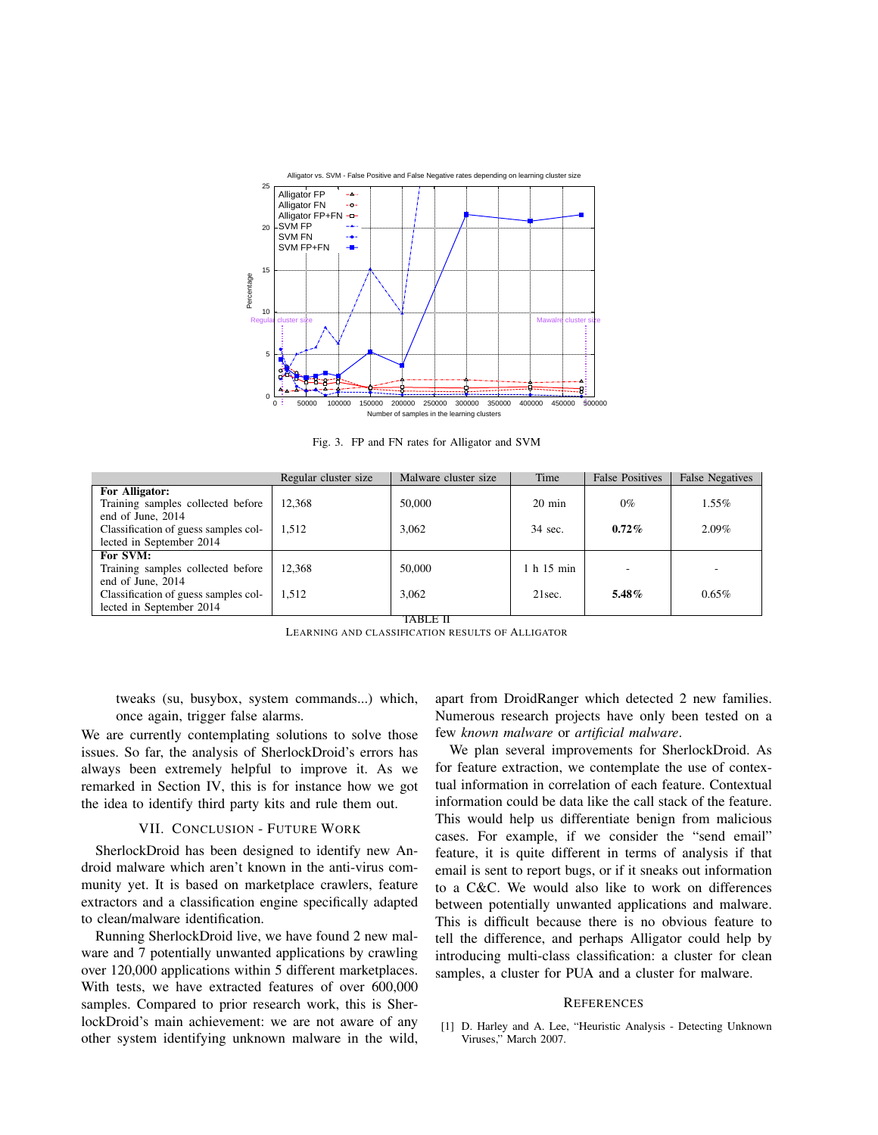

Fig. 3. FP and FN rates for Alligator and SVM

|                                      | Regular cluster size | Malware cluster size | Time              | <b>False Positives</b> | <b>False Negatives</b>   |  |
|--------------------------------------|----------------------|----------------------|-------------------|------------------------|--------------------------|--|
| For Alligator:                       |                      |                      |                   |                        |                          |  |
| Training samples collected before    | 12.368               | 50,000               | $20 \text{ min}$  | $0\%$                  | $1.55\%$                 |  |
| end of June, 2014                    |                      |                      |                   |                        |                          |  |
| Classification of guess samples col- | 1.512                | 3.062                | $34 \text{ sec.}$ | $0.72\%$               | $2.09\%$                 |  |
| lected in September 2014             |                      |                      |                   |                        |                          |  |
| For SVM:                             |                      |                      |                   |                        |                          |  |
| Training samples collected before    | 12.368               | 50,000               | 1 h 15 min        |                        | $\overline{\phantom{a}}$ |  |
| end of June, 2014                    |                      |                      |                   |                        |                          |  |
| Classification of guess samples col- | 1.512                | 3.062                | $21$ sec.         | $5.48\%$               | $0.65\%$                 |  |
| lected in September 2014             |                      |                      |                   |                        |                          |  |
| TABLE II                             |                      |                      |                   |                        |                          |  |

LEARNING AND CLASSIFICATION RESULTS OF ALLIGATOR

tweaks (su, busybox, system commands...) which, once again, trigger false alarms.

We are currently contemplating solutions to solve those issues. So far, the analysis of SherlockDroid's errors has always been extremely helpful to improve it. As we remarked in Section IV, this is for instance how we got the idea to identify third party kits and rule them out.

# VII. CONCLUSION - FUTURE WORK

SherlockDroid has been designed to identify new Android malware which aren't known in the anti-virus community yet. It is based on marketplace crawlers, feature extractors and a classification engine specifically adapted to clean/malware identification.

Running SherlockDroid live, we have found 2 new malware and 7 potentially unwanted applications by crawling over 120,000 applications within 5 different marketplaces. With tests, we have extracted features of over 600,000 samples. Compared to prior research work, this is SherlockDroid's main achievement: we are not aware of any other system identifying unknown malware in the wild,

apart from DroidRanger which detected 2 new families. Numerous research projects have only been tested on a few *known malware* or *artificial malware*.

We plan several improvements for SherlockDroid. As for feature extraction, we contemplate the use of contextual information in correlation of each feature. Contextual information could be data like the call stack of the feature. This would help us differentiate benign from malicious cases. For example, if we consider the "send email" feature, it is quite different in terms of analysis if that email is sent to report bugs, or if it sneaks out information to a C&C. We would also like to work on differences between potentially unwanted applications and malware. This is difficult because there is no obvious feature to tell the difference, and perhaps Alligator could help by introducing multi-class classification: a cluster for clean samples, a cluster for PUA and a cluster for malware.

#### **REFERENCES**

[1] D. Harley and A. Lee, "Heuristic Analysis - Detecting Unknown Viruses," March 2007.